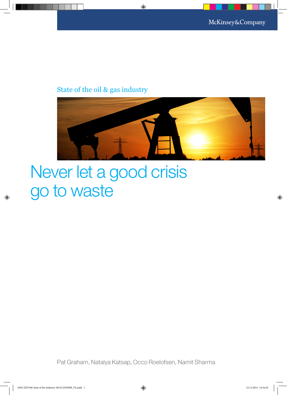### State of the oil & gas industry



# Never let a good crisis go to waste

Pat Graham, Natalya Katsap, Occo Roelofsen, Namit Sharma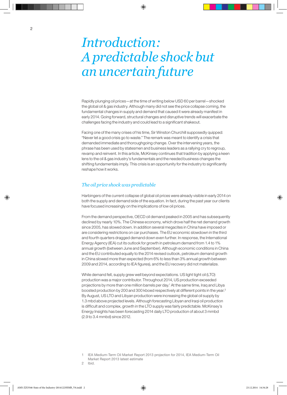## *Introduction: A predictable shock but an uncertain future*

Rapidly plunging oil prices—at the time of writing below USD 60 per barrel—shocked the global oil & gas industry. Although many did not see the price collapse coming, the fundamental changes in supply and demand that caused it were already manifest in early 2014. Going forward, structural changes and disruptive trends will exacerbate the challenges facing the industry and could lead to a significant shakeout.

Facing one of the many crises of his time, Sir Winston Churchill supposedly quipped: "Never let a good crisis go to waste." The remark was meant to identify a crisis that demanded immediate and thoroughgoing change. Over the intervening years, the phrase has been used by statesmen and business leaders as a rallying cry to regroup, revamp and reinvent. In this article, McKinsey continues that tradition by applying a keen lens to the oil & gas industry's fundamentals and the needed business changes the shifting fundamentals imply. This crisis is an opportunity for the industry to significantly reshape how it works.

#### *The oil price shock was predictable*

Harbingers of the current collapse of global oil prices were already visible in early 2014 on both the supply and demand side of the equation. In fact, during the past year our clients have focused increasingly on the implications of low oil prices.

From the demand perspective, OECD oil demand peaked in 2005 and has subsequently declined by nearly 10%. The Chinese economy, which drove half the net demand growth since 2005, has slowed down. In addition several megacites in China have imposed or are considering restrictions on car purchases. The EU economic slowdown in the third and fourth quarters dragged demand down even further. In response, the International Energy Agency (IEA) cut its outlook for growth in petroleum demand from 1.4 to 1% annual growth (between June and September). Although economic conditions in China and the EU contributed equally to the 2014 revised outlook, petroleum demand growth in China slowed more than expected (from 6% to less than 3% annual growth between 2009 and 2014, according to IEA figures), and the EU recovery did not materialize.

While demand fell, supply grew well beyond expectations. US light tight oil (LTO) production was a major contributor. Throughout 2014, US production exceeded projections by more than one million barrels per day.1 At the same time, Iraq and Libya boosted production by 200 and 300 kboed respectively at different points in the year.<sup>2</sup> By August, US LTO and Libyan production were increasing the global oil supply by 1.3 mbd above projected levels. Although forecasting Libyan and Iraqi oil production is difficult and complex, growth in the LTO supply was fairly predictable. McKinsey's Energy Insights has been forecasting 2014 daily LTO production of about 3 mmbd (2.9 to 3.4 mmbd) since 2012.

<sup>1</sup> IEA Medium-Term Oil Market Report 2013 projection for 2014, IEA Medium-Term Oil Market Report 2013 latest estimate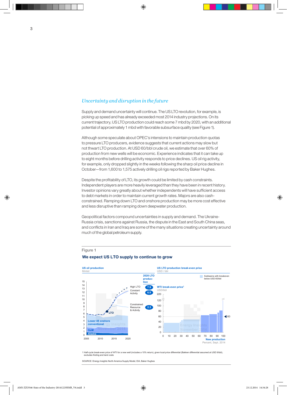#### *Uncertainty and disruption in the future*

Supply and demand uncertainty will continue. The US LTO revolution, for example, is picking up speed and has already exceeded most 2014 industry projections. On its current trajectory, US LTO production could reach some 7 mbd by 2020, with an additional potential of approximately 1 mbd with favorable subsurface quality (see Figure 1).

Although some speculate about OPEC's intensions to maintain production quotas to pressure LTO producers, evidence suggests that current actions may slow but not thwart LTO production. At USD 60/bbl crude oil, we estimate that over 60% of production from new wells will be economic. Experience indicates that it can take up to eight months before drilling activity responds to price declines. US oil rig activity, for example, only dropped slightly in the weeks following the sharp oil price decline in October—from 1,600 to 1,575 actively drilling oil rigs reported by Baker Hughes.

Despite the profitability of LTO, its growth could be limited by cash constraints. Independent players are more heavily leveraged than they have been in recent history. Investor opinions vary greatly about whether independents will have sufficient access to debt markets in order to maintain current growth rates. Majors are also cashconstrained. Ramping down LTO and onshore production may be more cost effective and less disruptive than ramping down deepwater production.

Geopolitical factors compound uncertainties in supply and demand. The Ukraine-Russia crisis, sanctions against Russia, the dispute in the East and South China seas, and conflicts in Iran and Iraq are some of the many situations creating uncertainty around much of the global petroleum supply.

#### Figure 1

#### **We expect US LTO supply to continue to grow**



1 Half-cycle break-even price of WTI for a new well (includes a 10% return), given local price differential (Bakken differential assumed at USD 9/bbl), excludes finding and land costs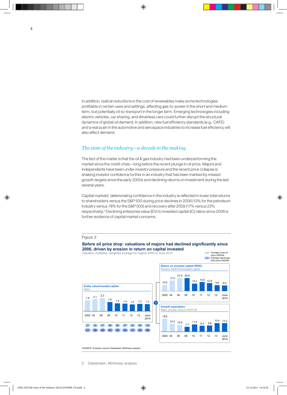In addition, radical reductions in the cost of renewables make some technologies profitable in certain uses and settings, affecting gas-to-power in the short and medium term, but potentially oil-to-transport in the longer term. Emerging technologies including electric vehicles, car sharing, and driverless cars could further disrupt the structural dynamics of global oil demand. In addition, new fuel efficiency standards (e.g., CAFE) and a real push in the automotive and aerospace industries to increase fuel efficiency will also affect demand.

#### *The state of the industry—a decade in the making*

Valuation multiples, weighted average for majors 2002 to June 2014

The fact of the matter is that the oil & gas industry had been underperforming the market since the credit crisis—long before the recent plunge in oil price. Majors and independents have been under investor pressure and the recent price collapse is shaking investor confidence further in an industry that has been marked by missed growth targets since the early 2000s and declining returns on investment during the last several years.

Capital markets' deteriorating confidence in the industry is reflected in lower total returns to shareholders versus the S&P 500 during price declines in 2008 (13% for the petroleum industry versus 18% for the S&P 500) and recovery after 2009 (17% versus 23% respectively).<sup>3</sup> Declining enterprise value (EV) to invested capital (IC) ratios since 2008 is further evidence of capital market concerns.



#### Figure 2

#### **Before oil price drop: valuations of majors had declined significantly since 2006, driven by erosion in return on capital invested**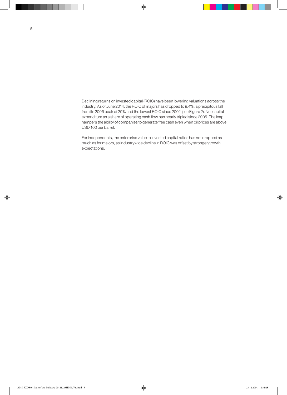Declining returns on invested capital (ROIC) have been lowering valuations across the industry. As of June 2014, the ROIC of majors has dropped to 9.4%, a precipitous fall from its 2006 peak of 20% and the lowest ROIC since 2002 (see Figure 2). Net capital expenditure as a share of operating cash flow has nearly tripled since 2005. The leap hampers the ability of companies to generate free cash even when oil prices are above USD 100 per barrel.

For independents, the enterprise value to invested capital ratios has not dropped as much as for majors, as industrywide decline in ROIC was offset by stronger growth expectations.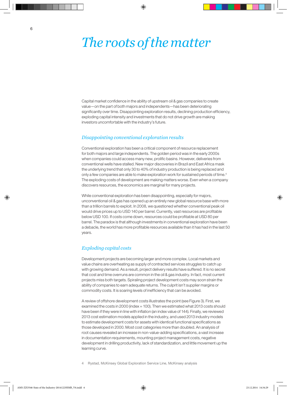### *The roots of the matter*

Capital market confidence in the ability of upstream oil & gas companies to create value—on the part of both majors and independents—has been deteriorating significantly over time. Disappointing exploration results, declining production efficiency, exploding capital intensity and investments that do not drive growth are making investors uncomfortable with the industry's future.

#### *Disappointing conventional exploration results*

Conventional exploration has been a critical component of resource replacement for both majors and large independents. The golden period was in the early 2000s when companies could access many new, prolific basins. However, deliveries from conventional wells have stalled. New major discoveries in Brazil and East Africa mask the underlying trend that only 30 to 40% of industry production is being replaced and only a few companies are able to make exploration work for sustained periods of time.<sup>4</sup> The exploding costs of development are making matters worse. Even when a company discovers resources, the economics are marginal for many projects.

While conventional exploration has been disappointing, especially for majors, unconventional oil & gas has opened up an entirely new global resource base with more than a trillion barrels to exploit. In 2008, we questioned whether conventional peak oil would drive prices up to USD 140 per barrel. Currently, vast resources are profitable below USD 100. If costs come down, resources could be profitable at USD 80 per barrel. The paradox is that although investments in conventional exploration have been a debacle, the world has more profitable resources available than it has had in the last 50 years.

#### *Exploding capital costs*

Development projects are becoming larger and more complex. Local markets and value chains are overheating as supply of contracted services struggles to catch up with growing demand. As a result, project delivery results have suffered. It is no secret that cost and time overruns are common in the oil & gas industry. In fact, most current projects miss both targets. Spiraling project development costs may soon strain the ability of companies to earn adequate returns. The culprit isn't supplier margins or commodity costs. It is soaring levels of inefficiency that can be avoided.

A review of offshore development costs illustrates the point (see Figure 3). First, we examined the costs in 2000 (index = 100). Then we estimated what 2013 costs should have been if they were in line with inflation (an index value of 144). Finally, we reviewed 2013 cost estimation models applied in the industry, and used 2013 industry models to estimate development costs for assets with identical functional specifications as those developed in 2000. Most cost categories more than doubled. An analysis of root causes revealed an increase in non-value-adding specifications, a vast increase in documentation requirements, mounting project management costs, negative development in drilling productivity, lack of standardization, and little movement up the learning curve.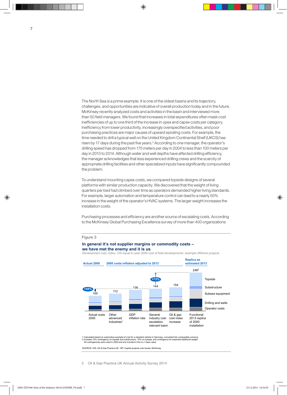The North Sea is a prime example. It is one of the oldest basins and its trajectory, challenges, and opportunities are indicative of overall production today and in the future. McKinsey recently analyzed costs and activities in the basin and interviewed more than 50 field managers. We found that increases in total expenditures often mask cost inefficiencies of up to one third of the increase in opex and capex costs per category. Inefficiency from lower productivity, increasingly overspecified activities, and poor purchasing practices are major causes of upward spiraling costs. For example, the time needed to drill a typical well on the United Kingdom Continental Shelf (UKCS) has risen by 17 days during the past five years.<sup>5</sup> According to one manager, the operator's drilling speed has dropped from 175 meters per day in 2004 to less than 100 meters per day in 2013 to 2014. Although water and well depths have affected drilling efficiency, the manager acknowledges that less experienced drilling crews and the scarcity of appropriate drilling facilities and other specialized inputs have significantly compounded the problem.

To understand mounting capex costs, we compared topside designs of several platforms with similar production capacity. We discovered that the weight of living quarters per bed had climbed over time as operators demanded higher living standards. For example, larger automation and temperature control can lead to a nearly 50% increase in the weight of the operator's HVAC systems. The larger weight increases the installation costs.

Purchasing processes and efficiency are another source of escalating costs. According to the McKinsey Global Purchasing Excellence survey of more than 400 organizations

#### Figure 3

#### **In general it's not supplier margins or commodity costs – we have met the enemy and it is us**



Development cost; index, 100 equal to year 2000 cost of field developments: example offshore projects

1 Calculated based on automotive example of cost for a standard vehicle in Germany, converted into comparable currency<br>2 Includes 10% contingency on topside and substructure, 15% on subsea, and contingency for expected add

SOURCE: HIS; Oil & Gas Practice UK ; NP; Capital projects cost review; McKinsey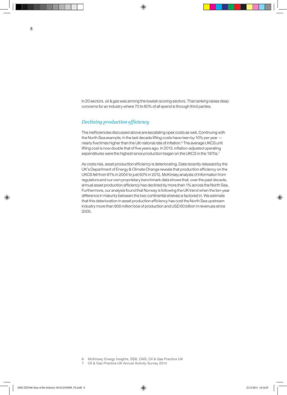in 20 sectors, oil & gas was among the lowest-scoring sectors. That ranking raises deep concerns for an industry where 70 to 80% of all spend is through third parties.

#### *Declining production efficiency*

The inefficiencies discussed above are escalating opex costs as well. Continuing with the North Sea example, in the last decade lifting costs have risen by 10% per year nearly five times higher than the UK national rate of inflation.<sup>6</sup> The average UKCS unit lifting cost is now double that of five years ago. In 2013, inflation-adjusted operating expenditures were the highest since production began on the UKCS in the 1970s.<sup>7</sup>

As costs rise, asset production efficiency is deteriorating. Data recently released by the UK's Department of Energy & Climate Change reveals that production efficiency on the UKCS fell from 81% in 2004 to just 60% in 2012. McKinsey analysis of information from regulators and our own proprietary benchmark data shows that, over the past decade, annual asset production efficiency has declined by more than 1% across the North Sea. Furthermore, our analysis found that Norway is following the UK trend when the ten-year difference in maturity between the two continental shelves is factored in. We estimate that this deterioration in asset production efficiency has cost the North Sea upstream industry more than 900 million boe of production and USD 60 billion in revenues since 2005.

- 6 McKinsey Energy Insights, SSB, ONS, Oil & Gas Practice UK
- 7 Oil & Gas Practice UK Annual Activity Survey 2014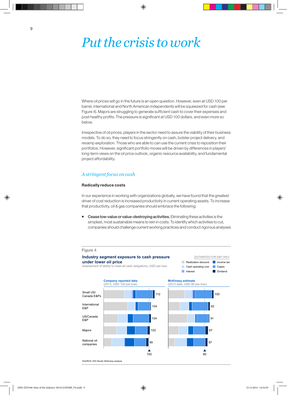### *Put the crisis to work*

Where oil prices will go in the future is an open question. However, even at USD 100 per barrel, international and North American independents will be squeezed for cash (see Figure 4). Majors are struggling to generate sufficient cash to cover their expenses and post healthy profits. The pressure is significant at USD 100 dollars, and even more so below.

Irrespective of oil prices, players in the sector need to assure the viability of their business models. To do so, they need to focus stringently on cash, bolster project delivery, and revamp exploration. Those who are able to can use the current crisis to reposition their portfolios. However, significant portfolio moves will be driven by differences in players' long-term views on the oil price outlook, organic resource availability, and fundamental project affordability.

#### *A stringent focus on cash*

#### Radically reduce costs

In our experience in working with organizations globally, we have found that the greatest driver of cost reduction is increased productivity in current operating assets. To increase that productivity, oil & gas companies should embrace the following:

**Cease low-value or value-destroying activities.** Eliminating these activities is the simplest, most sustainable means to rein in costs. To identify which activities to cut, companies should challenge current working practices and conduct rigorous analyses



SOURCE: IHS Herold; McKinsey analysis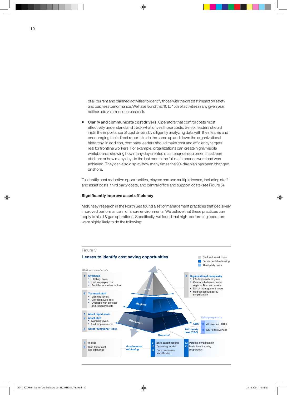of all current and planned activities to identify those with the greatest impact on safety and business performance. We have found that 10 to 15% of activities in any given year neither add value nor decrease risk.

■ Clarify and communicate cost drivers. Operators that control costs most effectively understand and track what drives those costs. Senior leaders should instill the importance of cost drivers by diligently analyzing data with their teams and encouraging their direct reports to do the same up and down the organizational hierarchy. In addition, company leaders should make cost and efficiency targets real for frontline workers. For example, organizations can create highly visible whiteboards showing how many days rented maintenance equipment has been offshore or how many days in the last month the full maintenance workload was achieved. They can also display how many times the 90-day plan has been changed onshore.

To identify cost reduction opportunities, players can use multiple lenses, including staff and asset costs, third party costs, and central office and support costs (see Figure 5).

#### Significantly improve asset efficiency

McKinsey research in the North Sea found a set of management practices that decisively improved performance in offshore environments. We believe that these practices can apply to all oil & gas operations. Specifically, we found that high-performing operators were highly likely to do the following:

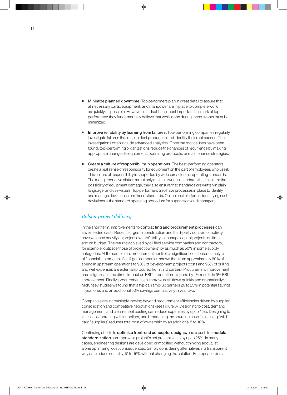- Minimize planned downtime. Top performers plan in great detail to assure that all necessary parts, equipment, and manpower are in place to complete work as quickly as possible. However, mindset is the most important hallmark of top performers: they fundamentally believe that work done during these events must be minimized.
- Improve reliability by learning from failures. Top-performing companies regularly investigate failures that result in lost production and identify their root causes. The investigations often include advanced analytics. Once the root causes have been found, top-performing organizations reduce the chances of recurrence by making appropriate changes to equipment, operating protocols, or maintenance strategies.
- **EXECTE A Create a culture of responsibility in operations.** The best-performing operators create a real sense of responsibility for equipment on the part of employees who use it. This culture of responsibility is supported by widespread use of operating standards. The most productive platforms not only maintain written standards that minimize the possibility of equipment damage, they also ensure that standards are written in plain language, and use visuals. Top performers also have processes in place to identify and manage deviations from those standards. On the best platforms, identifying such deviations is the standard operating procedure for supervisors and managers.

#### *Bolster project delivery*

In the short term, improvements to contracting and procurement processes can save needed cash. Recent surges in construction and third-party contractor activity have weighed heavily on project owners' ability to manage capital projects on time and on budget. The returns achieved by oil field service companies and contractors, for example, outpace those of project owners' by as much as 50% in some supply categories. At the same time, procurement controls a significant cost base —analysis of financial statements of oil & gas companies shows that from approximately 60% of spend in upstream operations to 90% of development projects costs and 95% of drilling and well expenses are external (procured from third parties). Procurement improvement has a significant and direct impact on EBIT—reduction in spend by 1% results in 5% EBIT improvement. Finally, procurement can improve cash flows quickly and dramatically: in McKinsey studies we found that a typical ramp-up garners 20 to 25% in potential savings in year one, and an additional 50% savings cumulatively in year two.

Companies are increasingly moving beyond procurement efficiencies driven by supplier consolidation and competitive negotiations (see Figure 6). Designing to cost, demand management, and clean-sheet costing can reduce expenses by up to 15%. Designing to value, collaborating with suppliers, and broadening the sourcing base (e.g., using "wild card" suppliers) reduces total cost of ownership by an additional 5 to 10%.

Continuing efforts to optimize front-end concepts, designs, and a push for modular standardization can improve a project's net present value by up to 25%. In many cases, engineering designs are developed or modified without thinking about, let alone optimizing, cost consequences. Simply considering alternatives in a transparent way can reduce costs by 10 to 15% without changing the solution. For repeat orders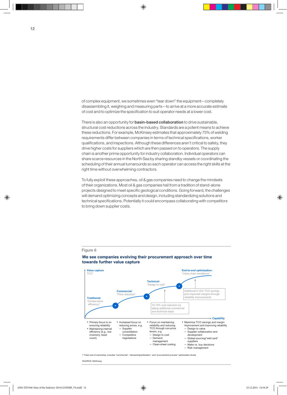of complex equipment, we sometimes even "tear down" the equipment—completely disassembling it, weighing and measuring parts—to arrive at a more accurate estimate of cost and to optimize the specification to suit operator needs at a lower cost.

There is also an opportunity for **basin-based collaboration** to drive sustainable, structural cost reductions across the industry. Standards are a potent means to achieve these reductions. For example, McKinsey estimates that approximately 75% of welding requirements differ between companies in terms of technical specifications, worker qualifications, and inspections. Although these differences aren't critical to safety, they drive higher costs for suppliers which are then passed on to operators. The supply chain is another prime opportunity for industry collaboration. Individual operators can share scarce resources in the North Sea by sharing standby vessels or coordinating the scheduling of their annual turnarounds so each operator can access the right skills at the right time without overwhelming contractors.

To fully exploit these approaches, oil & gas companies need to change the mindsets of their organizations. Most oil & gas companies hail from a tradition of stand-alone projects designed to meet specific geological conditions. Going forward, the challenges will demand optimizing concepts and design, including standardizing solutions and technical specifications. Potentially it could encompass collaborating with competitors to bring down supplier costs.

#### Figure 6



#### **We see companies evolving their procurement approach over time towards further value capture**

1 Total cost of ownership, includes "commercial", "demand/specification", and "procurement process" optimization levels

#### SOURCE: McKinsey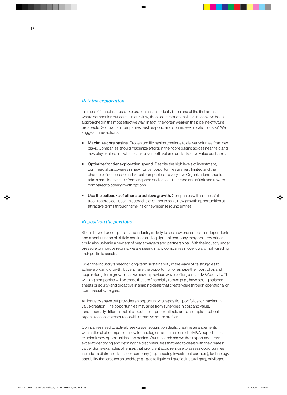#### *Rethink exploration*

In times of financial stress, exploration has historically been one of the first areas where companies cut costs. In our view, these cost reductions have not always been approached in the most effective way. In fact, they often weaken the pipeline of future prospects. So how can companies best respond and optimize exploration costs? We suggest three actions:

- **Maximize core basins.** Proven prolific basins continue to deliver volumes from new plays. Companies should maximize efforts in their core basins across near field and new play exploration which can deliver both volume and attractive value per barrel.
- **Dptimize frontier exploration spend.** Despite the high levels of investment, commercial discoveries in new frontier opportunities are very limited and the chances of success for individual companies are very low. Organizations should take a hard look at their frontier spend and assess the trade offs of risk and reward compared to other growth options.
- Use the cutbacks of others to achieve growth. Companies with successful track records can use the cutbacks of others to seize new growth opportunities at attractive terms through farm-ins or new license round entries.

#### *Reposition the portfolio*

Should low oil prices persist, the industry is likely to see new pressures on independents and a continuation of oil field services and equipment company mergers. Low prices could also usher in a new era of megamergers and partnerships. With the industry under pressure to improve returns, we are seeing many companies move toward high-grading their portfolio assets.

Given the industry's need for long-term sustainability in the wake of its struggles to achieve organic growth, buyers have the opportunity to reshape their portfolios and acquire long-term growth—as we saw in previous waves of large-scale M&A activity. The winning companies will be those that are financially robust (e.g., have strong balance sheets or equity) and proactive in shaping deals that create value through operational or commercial synergies.

An industry shake out provides an opportunity to reposition portfolios for maximum value creation. The opportunities may arise from synergies in cost and value, fundamentally different beliefs about the oil price outlook, and assumptions about organic access to resources with attractive return profiles.

Companies need to actively seek asset acquisition deals, creative arrangements with national oil companies, new technologies, and small or niche M&A opportunities to unlock new opportunities and basins. Our research shows that expert acquirers excel at identifying and defining the discontinuities that lead to deals with the greatest value. Some examples of lenses that proficient acquirers use to assess opportunities include a distressed asset or company (e.g., needing investment partners), technology capability that creates an upside (e.g., gas to liquid or liquefied natural gas), privileged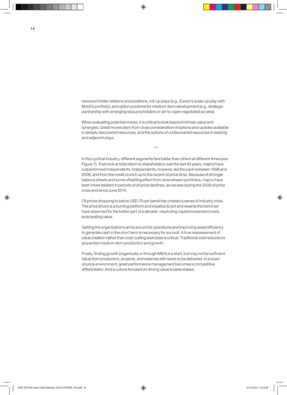resource holder relations and positions, roll-up plays (e.g., Exxon's scale-up play with Mobil's portfolio), and option positions for medium-term development (e.g., strategic partnership with emerging resource holders or yet-to-open negotiated access).

When evaluating potential moves, it is critical to look beyond intrinsic value and synergies. Great moves stem from close consideration of options and upsides available in already discovered resources, and the options of undiscovered resources in existing and adjacent plays.

\*\*\*

In this cyclical industry, different segments fare better than others at different times (see Figure 7). If we look at total return to shareholders over the last 40 years, majors have outperformed independents. Independents, however, led the pack between 1998 and 2008, and from the credit crunch up to the recent oil price drop. Because of stronger balance sheets and some offsetting effect from downstream portfolios, majors have been more resilient in periods of oil price declines, as we saw during the 2008 oil price crisis and since June 2014.

Oil prices dropping to below USD 70 per barrel has created a sense of industry crisis. The price shock is a burning platform and impetus to act and reverse the trend we have observed for the better part of a decade –exploding capital investment costs eviscerating value.

Getting the organization's arms around its operations and improving asset efficiency to generate cash in the short term is necessary for survival. A true reassessment of value creation rather than cost-cutting exercises is critical. Traditional cost reductions jeopardize medium-term production and growth.

Finally, finding growth (organically or through M&A) is a start, but may not be sufficient. Value from production, projects, and reserves still needs to be delivered. In a lower oil price environment, great performance management becomes a competitive differentiator. And a culture focused on driving value is table stakes.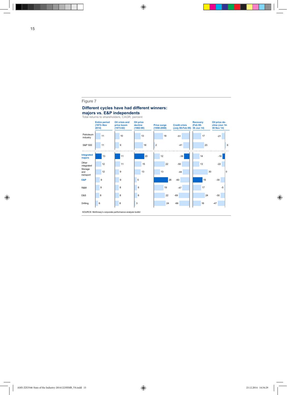#### Figure 7

#### **Different cycles have had different winners:**

**majors vs. E&P independents**